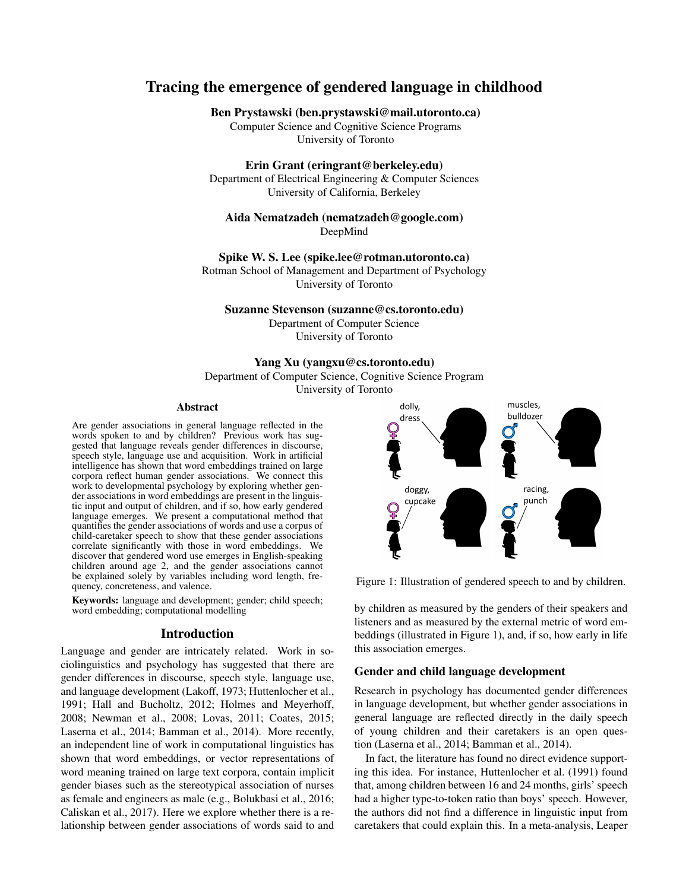# Tracing the emergence of gendered language in childhood

## Ben Prystawski (ben.prystawski@mail.utoronto.ca)

Computer Science and Cognitive Science Programs University of Toronto

## Erin Grant (eringrant@berkeley.edu)

Department of Electrical Engineering & Computer Sciences University of California, Berkeley

## Aida Nematzadeh (nematzadeh@google.com) DeepMind

Spike W. S. Lee (spike.lee@rotman.utoronto.ca)

Rotman School of Management and Department of Psychology University of Toronto

#### Suzanne Stevenson (suzanne@cs.toronto.edu)

Department of Computer Science University of Toronto

## Yang Xu (yangxu@cs.toronto.edu)

Department of Computer Science, Cognitive Science Program

University of Toronto

#### Abstract

Are gender associations in general language reflected in the words spoken to and by children? Previous work has suggested that language reveals gender differences in discourse, speech style, language use and acquisition. Work in artificial intelligence has shown that word embeddings trained on large corpora reflect human gender associations. We connect this work to developmental psychology by exploring whether gender associations in word embeddings are present in the linguistic input and output of children, and if so, how early gendered language emerges. We present a computational method that quantifies the gender associations of words and use a corpus of child-caretaker speech to show that these gender associations correlate significantly with those in word embeddings. We discover that gendered word use emerges in English-speaking children around age 2, and the gender associations cannot be explained solely by variables including word length, frequency, concreteness, and valence.

Keywords: language and development; gender; child speech; word embedding; computational modelling

## Introduction

Language and gender are intricately related. Work in sociolinguistics and psychology has suggested that there are gender differences in discourse, speech style, language use, and language development (Lakoff, 1973; Huttenlocher et al., 1991; Hall and Bucholtz, 2012; Holmes and Meyerhoff, 2008; Newman et al., 2008; Lovas, 2011; Coates, 2015; Laserna et al., 2014; Bamman et al., 2014). More recently, an independent line of work in computational linguistics has shown that word embeddings, or vector representations of word meaning trained on large text corpora, contain implicit gender biases such as the stereotypical association of nurses as female and engineers as male (e.g., Bolukbasi et al., 2016; Caliskan et al., 2017). Here we explore whether there is a relationship between gender associations of words said to and



Figure 1: Illustration of gendered speech to and by children.

by children as measured by the genders of their speakers and listeners and as measured by the external metric of word embeddings (illustrated in Figure 1), and, if so, how early in life this association emerges.

### Gender and child language development

Research in psychology has documented gender differences in language development, but whether gender associations in general language are reflected directly in the daily speech of young children and their caretakers is an open question (Laserna et al., 2014; Bamman et al., 2014).

In fact, the literature has found no direct evidence supporting this idea. For instance, Huttenlocher et al. (1991) found that, among children between 16 and 24 months, girls' speech had a higher type-to-token ratio than boys' speech. However, the authors did not find a difference in linguistic input from caretakers that could explain this. In a meta-analysis, Leaper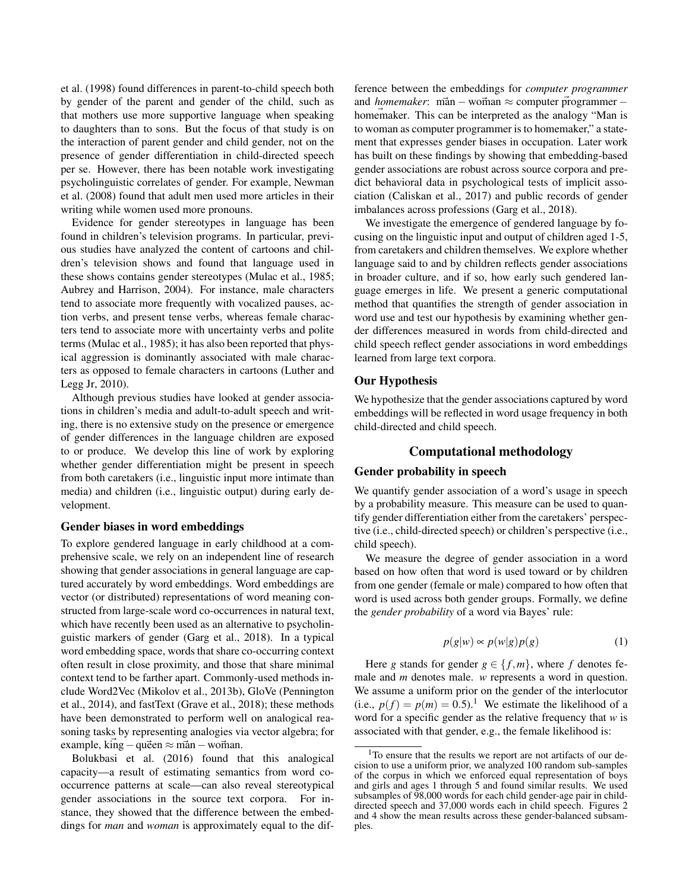et al. (1998) found differences in parent-to-child speech both by gender of the parent and gender of the child, such as that mothers use more supportive language when speaking to daughters than to sons. But the focus of that study is on the interaction of parent gender and child gender, not on the presence of gender differentiation in child-directed speech per se. However, there has been notable work investigating psycholinguistic correlates of gender. For example, Newman et al. (2008) found that adult men used more articles in their writing while women used more pronouns.

Evidence for gender stereotypes in language has been found in children's television programs. In particular, previous studies have analyzed the content of cartoons and children's television shows and found that language used in these shows contains gender stereotypes (Mulac et al., 1985; Aubrey and Harrison, 2004). For instance, male characters tend to associate more frequently with vocalized pauses, action verbs, and present tense verbs, whereas female characters tend to associate more with uncertainty verbs and polite terms (Mulac et al., 1985); it has also been reported that physical aggression is dominantly associated with male characters as opposed to female characters in cartoons (Luther and Legg Jr, 2010).

Although previous studies have looked at gender associations in children's media and adult-to-adult speech and writing, there is no extensive study on the presence or emergence of gender differences in the language children are exposed to or produce. We develop this line of work by exploring whether gender differentiation might be present in speech from both caretakers (i.e., linguistic input more intimate than media) and children (i.e., linguistic output) during early development.

#### Gender biases in word embeddings

To explore gendered language in early childhood at a comprehensive scale, we rely on an independent line of research showing that gender associations in general language are captured accurately by word embeddings. Word embeddings are vector (or distributed) representations of word meaning constructed from large-scale word co-occurrences in natural text, which have recently been used as an alternative to psycholinguistic markers of gender (Garg et al., 2018). In a typical word embedding space, words that share co-occurring context often result in close proximity, and those that share minimal context tend to be farther apart. Commonly-used methods include Word2Vec (Mikolov et al., 2013b), GloVe (Pennington et al., 2014), and fastText (Grave et al., 2018); these methods have been demonstrated to perform well on analogical reasoning tasks by representing analogies via vector algebra; for example, king  $-$ queen  $\approx$  man  $-$ woman.

Bolukbasi et al. (2016) found that this analogical capacity—a result of estimating semantics from word cooccurrence patterns at scale—can also reveal stereotypical gender associations in the source text corpora. For instance, they showed that the difference between the embeddings for *man* and *woman* is approximately equal to the difference between the embeddings for *computer programmer* and *homemaker*: man – woman  $\approx$  computer programmer – homemaker. This can be interpreted as the analogy "Man is to woman as computer programmer is to homemaker," a statement that expresses gender biases in occupation. Later work has built on these findings by showing that embedding-based gender associations are robust across source corpora and predict behavioral data in psychological tests of implicit association (Caliskan et al., 2017) and public records of gender imbalances across professions (Garg et al., 2018).

We investigate the emergence of gendered language by focusing on the linguistic input and output of children aged 1-5, from caretakers and children themselves. We explore whether language said to and by children reflects gender associations in broader culture, and if so, how early such gendered language emerges in life. We present a generic computational method that quantifies the strength of gender association in word use and test our hypothesis by examining whether gender differences measured in words from child-directed and child speech reflect gender associations in word embeddings learned from large text corpora.

#### Our Hypothesis

We hypothesize that the gender associations captured by word embeddings will be reflected in word usage frequency in both child-directed and child speech.

## Computational methodology

#### Gender probability in speech

We quantify gender association of a word's usage in speech by a probability measure. This measure can be used to quantify gender differentiation either from the caretakers' perspective (i.e., child-directed speech) or children's perspective (i.e., child speech).

We measure the degree of gender association in a word based on how often that word is used toward or by children from one gender (female or male) compared to how often that word is used across both gender groups. Formally, we define the *gender probability* of a word via Bayes' rule:

$$
p(g|w) \propto p(w|g)p(g)
$$
 (1)

Here *g* stands for gender  $g \in \{f,m\}$ , where *f* denotes female and *m* denotes male. *w* represents a word in question. We assume a uniform prior on the gender of the interlocutor (i.e.,  $p(f) = p(m) = 0.5$ ).<sup>1</sup> We estimate the likelihood of a word for a specific gender as the relative frequency that *w* is associated with that gender, e.g., the female likelihood is:

<sup>&</sup>lt;sup>1</sup>To ensure that the results we report are not artifacts of our decision to use a uniform prior, we analyzed 100 random sub-samples of the corpus in which we enforced equal representation of boys and girls and ages 1 through 5 and found similar results. We used subsamples of  $\frac{98,000}{98,000}$  words for each child gender-age pair in childdirected speech and 37,000 words each in child speech. Figures 2 and 4 show the mean results across these gender-balanced subsamples.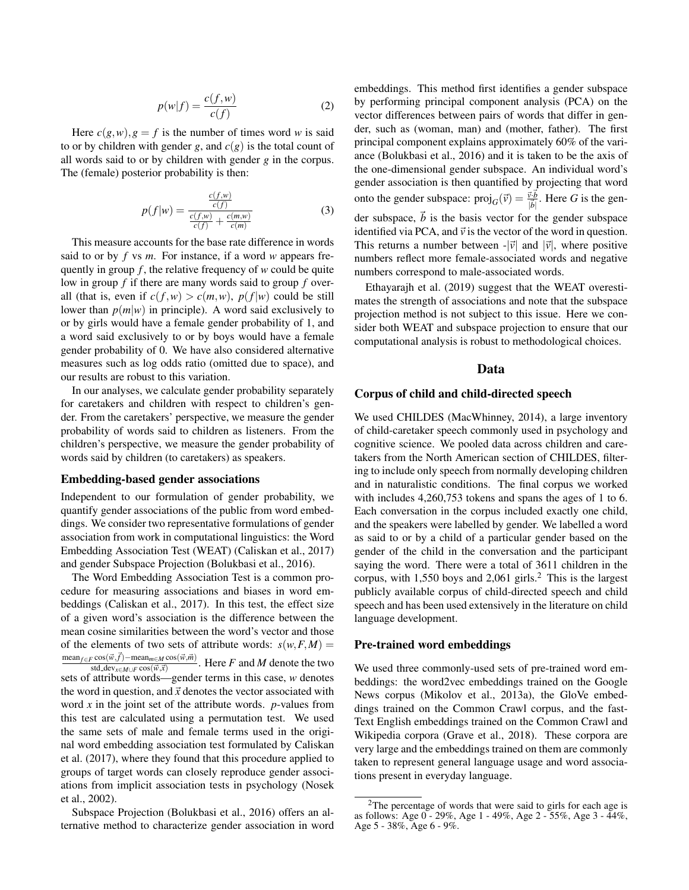$$
p(w|f) = \frac{c(f, w)}{c(f)}\tag{2}
$$

Here  $c(g, w)$ ,  $g = f$  is the number of times word *w* is said to or by children with gender *g*, and  $c(g)$  is the total count of all words said to or by children with gender *g* in the corpus. The (female) posterior probability is then:

$$
p(f|w) = \frac{\frac{c(f,w)}{c(f)}}{\frac{c(f,w)}{c(f)} + \frac{c(m,w)}{c(m)}}\tag{3}
$$

This measure accounts for the base rate difference in words said to or by *f* vs *m*. For instance, if a word *w* appears frequently in group *f* , the relative frequency of *w* could be quite low in group *f* if there are many words said to group *f* overall (that is, even if  $c(f, w) > c(m, w)$ ,  $p(f|w)$  could be still lower than  $p(m|w)$  in principle). A word said exclusively to or by girls would have a female gender probability of 1, and a word said exclusively to or by boys would have a female gender probability of 0. We have also considered alternative measures such as log odds ratio (omitted due to space), and our results are robust to this variation.

In our analyses, we calculate gender probability separately for caretakers and children with respect to children's gender. From the caretakers' perspective, we measure the gender probability of words said to children as listeners. From the children's perspective, we measure the gender probability of words said by children (to caretakers) as speakers.

#### Embedding-based gender associations

Independent to our formulation of gender probability, we quantify gender associations of the public from word embeddings. We consider two representative formulations of gender association from work in computational linguistics: the Word Embedding Association Test (WEAT) (Caliskan et al., 2017) and gender Subspace Projection (Bolukbasi et al., 2016).

The Word Embedding Association Test is a common procedure for measuring associations and biases in word embeddings (Caliskan et al., 2017). In this test, the effect size of a given word's association is the difference between the mean cosine similarities between the word's vector and those of the elements of two sets of attribute words:  $s(w, F, M) =$  $\text{mean}_{f \in F} \cos(\vec{w}, \vec{f}) - \text{mean}_{m \in M} \cos(\vec{w}, \vec{m})$  $\frac{\cos(w, y) - \text{lncan}_{m \in M} \cos(w, m)}{\text{std\_dev}_{x \in M \cup F} \cos(\vec{w}, \vec{x})}$ . Here *F* and *M* denote the two sets of attribute words—gender terms in this case, *w* denotes the word in question, and  $\vec{x}$  denotes the vector associated with word *x* in the joint set of the attribute words. *p*-values from this test are calculated using a permutation test. We used the same sets of male and female terms used in the original word embedding association test formulated by Caliskan et al. (2017), where they found that this procedure applied to groups of target words can closely reproduce gender associations from implicit association tests in psychology (Nosek et al., 2002).

Subspace Projection (Bolukbasi et al., 2016) offers an alternative method to characterize gender association in word embeddings. This method first identifies a gender subspace by performing principal component analysis (PCA) on the vector differences between pairs of words that differ in gender, such as (woman, man) and (mother, father). The first principal component explains approximately 60% of the variance (Bolukbasi et al., 2016) and it is taken to be the axis of the one-dimensional gender subspace. An individual word's gender association is then quantified by projecting that word onto the gender subspace:  $proj_G(\vec{v}) = \frac{\vec{v} \cdot \vec{b}}{|\vec{b}|}$ . Here *G* is the gender subspace,  $\vec{b}$  is the basis vector for the gender subspace identified via PCA, and  $\vec{v}$  is the vector of the word in question. This returns a number between  $-|\vec{v}|$  and  $|\vec{v}|$ , where positive numbers reflect more female-associated words and negative numbers correspond to male-associated words.

Ethayarajh et al. (2019) suggest that the WEAT overestimates the strength of associations and note that the subspace projection method is not subject to this issue. Here we consider both WEAT and subspace projection to ensure that our computational analysis is robust to methodological choices.

## Data

#### Corpus of child and child-directed speech

We used CHILDES (MacWhinney, 2014), a large inventory of child-caretaker speech commonly used in psychology and cognitive science. We pooled data across children and caretakers from the North American section of CHILDES, filtering to include only speech from normally developing children and in naturalistic conditions. The final corpus we worked with includes 4,260,753 tokens and spans the ages of 1 to 6. Each conversation in the corpus included exactly one child, and the speakers were labelled by gender. We labelled a word as said to or by a child of a particular gender based on the gender of the child in the conversation and the participant saying the word. There were a total of 3611 children in the corpus, with  $1,550$  boys and  $2,061$  girls.<sup>2</sup> This is the largest publicly available corpus of child-directed speech and child speech and has been used extensively in the literature on child language development.

#### Pre-trained word embeddings

We used three commonly-used sets of pre-trained word embeddings: the word2vec embeddings trained on the Google News corpus (Mikolov et al., 2013a), the GloVe embeddings trained on the Common Crawl corpus, and the fast-Text English embeddings trained on the Common Crawl and Wikipedia corpora (Grave et al., 2018). These corpora are very large and the embeddings trained on them are commonly taken to represent general language usage and word associations present in everyday language.

 $2$ The percentage of words that were said to girls for each age is as follows: Age 0 - 29%, Age 1 - 49%, Age 2 - 55%, Age 3 - 44%, Age 5 - 38%, Age 6 - 9%.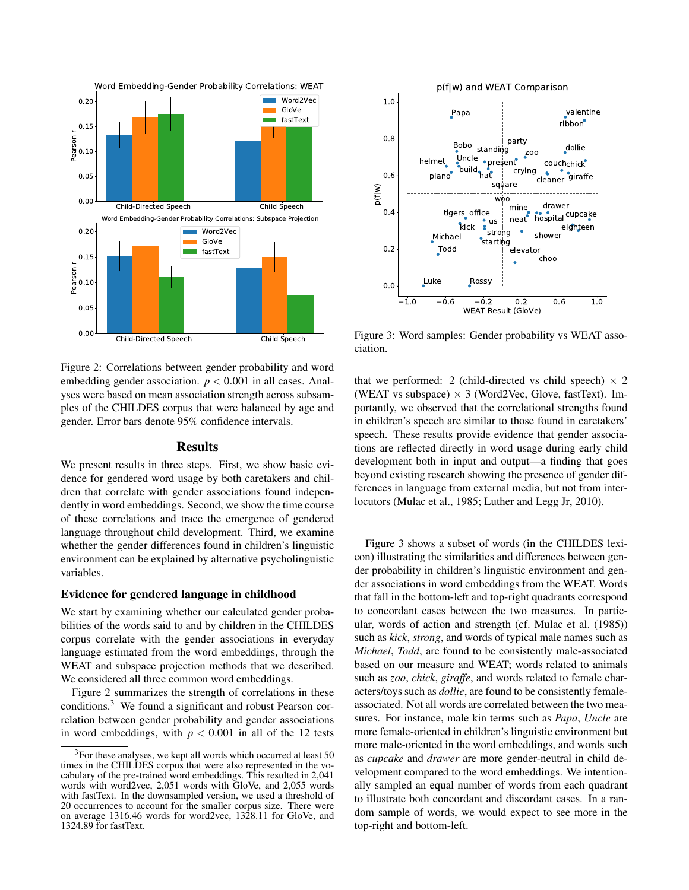

 $-1.0$   $-0.6$   $-0.2$  0.2 0.6 1.0 WEAT Result (GloVe)  $0.0$  $0.2$  $0.4$  $0.6$  $0.8$  $1.0$  $p(f|w)$ dollie cleaner giraffe party valentine couch<sub>chick</sub> crying  $200$  $ribbon$ <sup> $\bullet$ </sup> builder of the building to the building to the set of the set of the set of the set of the set of th<br>and the building of the set of the set of the set of the set of the set of the set of the set of the set of th<br>and the se **Bobo** Papa helmet Uncle present standing sauare piano<sup>®</sup>  $w$ <sub>00</sub> elevator choo shower mine drawer  $neat$ eighteen **hospital** cupcake Michael Strong Todd<sub></sub> tigers office  $\cdot$ starting kick Luke Rossy  $\frac{•}{•}$  us p(f|w) and WEAT Comparison

Figure 3: Word samples: Gender probability vs WEAT association.

Figure 2: Correlations between gender probability and word embedding gender association.  $p < 0.001$  in all cases. Analyses were based on mean association strength across subsamples of the CHILDES corpus that were balanced by age and gender. Error bars denote 95% confidence intervals.

## Results

We present results in three steps. First, we show basic evidence for gendered word usage by both caretakers and children that correlate with gender associations found independently in word embeddings. Second, we show the time course of these correlations and trace the emergence of gendered language throughout child development. Third, we examine whether the gender differences found in children's linguistic environment can be explained by alternative psycholinguistic variables.

## Evidence for gendered language in childhood

We start by examining whether our calculated gender probabilities of the words said to and by children in the CHILDES corpus correlate with the gender associations in everyday language estimated from the word embeddings, through the WEAT and subspace projection methods that we described. We considered all three common word embeddings.

Figure 2 summarizes the strength of correlations in these conditions.<sup>3</sup> We found a significant and robust Pearson correlation between gender probability and gender associations in word embeddings, with  $p < 0.001$  in all of the 12 tests that we performed: 2 (child-directed vs child speech)  $\times$  2 (WEAT vs subspace)  $\times$  3 (Word2Vec, Glove, fastText). Importantly, we observed that the correlational strengths found in children's speech are similar to those found in caretakers' speech. These results provide evidence that gender associations are reflected directly in word usage during early child development both in input and output—a finding that goes beyond existing research showing the presence of gender differences in language from external media, but not from interlocutors (Mulac et al., 1985; Luther and Legg Jr, 2010).

Figure 3 shows a subset of words (in the CHILDES lexicon) illustrating the similarities and differences between gender probability in children's linguistic environment and gender associations in word embeddings from the WEAT. Words that fall in the bottom-left and top-right quadrants correspond to concordant cases between the two measures. In particular, words of action and strength (cf. Mulac et al. (1985)) such as *kick*, *strong*, and words of typical male names such as *Michael*, *Todd*, are found to be consistently male-associated based on our measure and WEAT; words related to animals such as *zoo*, *chick*, *giraffe*, and words related to female characters/toys such as *dollie*, are found to be consistently femaleassociated. Not all words are correlated between the two measures. For instance, male kin terms such as *Papa*, *Uncle* are more female-oriented in children's linguistic environment but more male-oriented in the word embeddings, and words such as *cupcake* and *drawer* are more gender-neutral in child development compared to the word embeddings. We intentionally sampled an equal number of words from each quadrant to illustrate both concordant and discordant cases. In a random sample of words, we would expect to see more in the top-right and bottom-left.

<sup>&</sup>lt;sup>3</sup>For these analyses, we kept all words which occurred at least 50 times in the CHILDES corpus that were also represented in the vocabulary of the pre-trained word embeddings. This resulted in 2,041 words with word2vec, 2,051 words with GloVe, and 2,055 words with fastText. In the downsampled version, we used a threshold of 20 occurrences to account for the smaller corpus size. There were on average 1316.46 words for word2vec, 1328.11 for GloVe, and 1324.89 for fastText.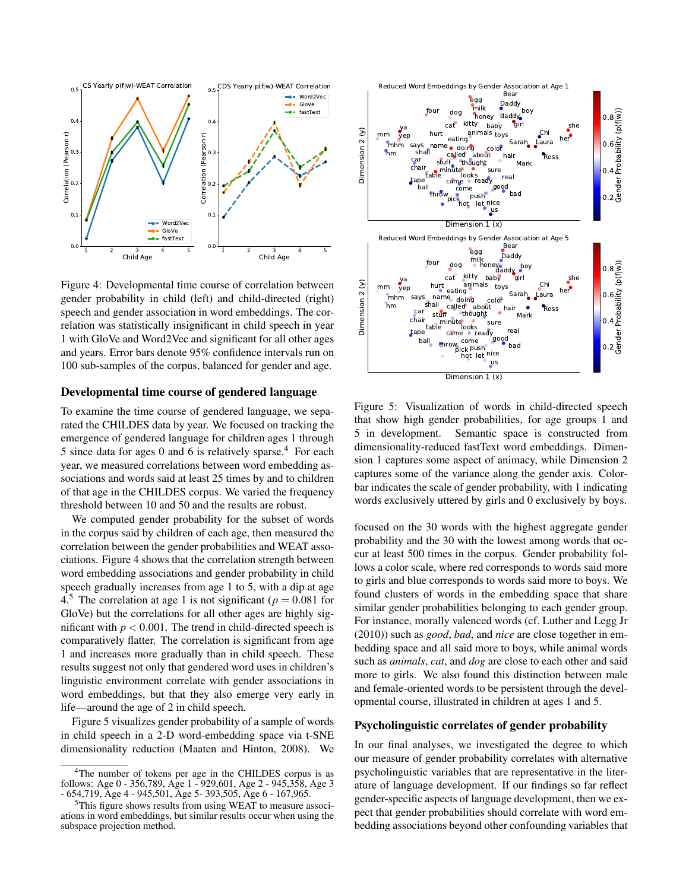

Figure 4: Developmental time course of correlation between gender probability in child (left) and child-directed (right) speech and gender association in word embeddings. The correlation was statistically insignificant in child speech in year 1 with GloVe and Word2Vec and significant for all other ages and years. Error bars denote 95% confidence intervals run on 100 sub-samples of the corpus, balanced for gender and age.

## Developmental time course of gendered language

To examine the time course of gendered language, we separated the CHILDES data by year. We focused on tracking the emergence of gendered language for children ages 1 through 5 since data for ages 0 and 6 is relatively sparse.<sup>4</sup> For each year, we measured correlations between word embedding associations and words said at least 25 times by and to children of that age in the CHILDES corpus. We varied the frequency threshold between 10 and 50 and the results are robust.

We computed gender probability for the subset of words in the corpus said by children of each age, then measured the correlation between the gender probabilities and WEAT associations. Figure 4 shows that the correlation strength between word embedding associations and gender probability in child speech gradually increases from age 1 to 5, with a dip at age 4.<sup>5</sup> The correlation at age 1 is not significant ( $p = 0.081$  for GloVe) but the correlations for all other ages are highly significant with  $p < 0.001$ . The trend in child-directed speech is comparatively flatter. The correlation is significant from age 1 and increases more gradually than in child speech. These results suggest not only that gendered word uses in children's linguistic environment correlate with gender associations in word embeddings, but that they also emerge very early in life—around the age of 2 in child speech.

Figure 5 visualizes gender probability of a sample of words in child speech in a 2-D word-embedding space via t-SNE dimensionality reduction (Maaten and Hinton, 2008). We



Figure 5: Visualization of words in child-directed speech that show high gender probabilities, for age groups 1 and 5 in development. Semantic space is constructed from dimensionality-reduced fastText word embeddings. Dimension 1 captures some aspect of animacy, while Dimension 2 captures some of the variance along the gender axis. Colorbar indicates the scale of gender probability, with 1 indicating words exclusively uttered by girls and 0 exclusively by boys.

focused on the 30 words with the highest aggregate gender probability and the 30 with the lowest among words that occur at least 500 times in the corpus. Gender probability follows a color scale, where red corresponds to words said more to girls and blue corresponds to words said more to boys. We found clusters of words in the embedding space that share similar gender probabilities belonging to each gender group. For instance, morally valenced words (cf. Luther and Legg Jr (2010)) such as *good*, *bad*, and *nice* are close together in embedding space and all said more to boys, while animal words such as *animals*, *cat*, and *dog* are close to each other and said more to girls. We also found this distinction between male and female-oriented words to be persistent through the developmental course, illustrated in children at ages 1 and 5.

## Psycholinguistic correlates of gender probability

In our final analyses, we investigated the degree to which our measure of gender probability correlates with alternative psycholinguistic variables that are representative in the literature of language development. If our findings so far reflect gender-specific aspects of language development, then we expect that gender probabilities should correlate with word embedding associations beyond other confounding variables that

<sup>&</sup>lt;sup>4</sup>The number of tokens per age in the CHILDES corpus is as follows: Age 0 - 356,789, Age 1 - 929,601, Age 2 - 945,358, Age 3 - 654,719, Age 4 - 945,501, Age 5- 393,505, Age 6 - 167,965.

<sup>5</sup>This figure shows results from using WEAT to measure associations in word embeddings, but similar results occur when using the subspace projection method.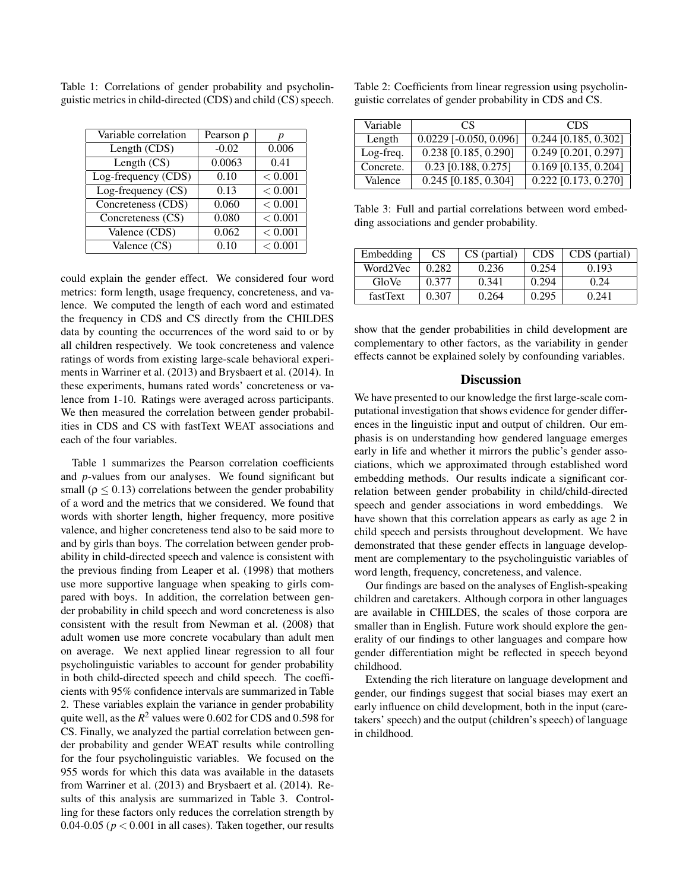| Variable correlation | Pearson $\rho$ |         |
|----------------------|----------------|---------|
| Length (CDS)         | $-0.02$        | 0.006   |
| Length $(CS)$        | 0.0063         | 0.41    |
| Log-frequency (CDS)  | 0.10           | < 0.001 |
| Log-frequency $(CS)$ | 0.13           | < 0.001 |
| Concreteness (CDS)   | 0.060          | < 0.001 |
| Concreteness (CS)    | 0.080          | < 0.001 |
| Valence (CDS)        | 0.062          | < 0.001 |
| Valence (CS)         | 0.10           | < 0.001 |

Table 1: Correlations of gender probability and psycholinguistic metrics in child-directed (CDS) and child (CS) speech.

could explain the gender effect. We considered four word metrics: form length, usage frequency, concreteness, and valence. We computed the length of each word and estimated the frequency in CDS and CS directly from the CHILDES data by counting the occurrences of the word said to or by all children respectively. We took concreteness and valence ratings of words from existing large-scale behavioral experiments in Warriner et al. (2013) and Brysbaert et al. (2014). In these experiments, humans rated words' concreteness or valence from 1-10. Ratings were averaged across participants. We then measured the correlation between gender probabilities in CDS and CS with fastText WEAT associations and each of the four variables.

Table 1 summarizes the Pearson correlation coefficients and *p*-values from our analyses. We found significant but small ( $\rho \leq 0.13$ ) correlations between the gender probability of a word and the metrics that we considered. We found that words with shorter length, higher frequency, more positive valence, and higher concreteness tend also to be said more to and by girls than boys. The correlation between gender probability in child-directed speech and valence is consistent with the previous finding from Leaper et al. (1998) that mothers use more supportive language when speaking to girls compared with boys. In addition, the correlation between gender probability in child speech and word concreteness is also consistent with the result from Newman et al. (2008) that adult women use more concrete vocabulary than adult men on average. We next applied linear regression to all four psycholinguistic variables to account for gender probability in both child-directed speech and child speech. The coefficients with 95% confidence intervals are summarized in Table 2. These variables explain the variance in gender probability quite well, as the *R* <sup>2</sup> values were 0.602 for CDS and 0.598 for CS. Finally, we analyzed the partial correlation between gender probability and gender WEAT results while controlling for the four psycholinguistic variables. We focused on the 955 words for which this data was available in the datasets from Warriner et al. (2013) and Brysbaert et al. (2014). Results of this analysis are summarized in Table 3. Controlling for these factors only reduces the correlation strength by 0.04-0.05 ( $p < 0.001$  in all cases). Taken together, our results Table 2: Coefficients from linear regression using psycholinguistic correlates of gender probability in CDS and CS.

| Variable  | CS                       | <b>CDS</b>             |
|-----------|--------------------------|------------------------|
| Length    | $0.0229$ [-0.050, 0.096] | $0.244$ [0.185, 0.302] |
| Log-freq. | $0.238$ [0.185, 0.290]   | $0.249$ [0.201, 0.297] |
| Concrete. | $0.23$ [0.188, 0.275]    | $0.169$ [0.135, 0.204] |
| Valence   | $0.245$ [0.185, 0.304]   | $0.222$ [0.173, 0.270] |

Table 3: Full and partial correlations between word embedding associations and gender probability.

| Embedding | CS    | CS (partial) | <b>CDS</b> | CDS (partial) |
|-----------|-------|--------------|------------|---------------|
| Word2Vec  | 0.282 | 0.236        | 0.254      | 0.193         |
| GloVe     | 0.377 | 0.341        | 0.294      | 0.24          |
| fastText  | 0.307 | 0.264        | 0.295      | 0.241         |

show that the gender probabilities in child development are complementary to other factors, as the variability in gender effects cannot be explained solely by confounding variables.

#### **Discussion**

We have presented to our knowledge the first large-scale computational investigation that shows evidence for gender differences in the linguistic input and output of children. Our emphasis is on understanding how gendered language emerges early in life and whether it mirrors the public's gender associations, which we approximated through established word embedding methods. Our results indicate a significant correlation between gender probability in child/child-directed speech and gender associations in word embeddings. We have shown that this correlation appears as early as age 2 in child speech and persists throughout development. We have demonstrated that these gender effects in language development are complementary to the psycholinguistic variables of word length, frequency, concreteness, and valence.

Our findings are based on the analyses of English-speaking children and caretakers. Although corpora in other languages are available in CHILDES, the scales of those corpora are smaller than in English. Future work should explore the generality of our findings to other languages and compare how gender differentiation might be reflected in speech beyond childhood.

Extending the rich literature on language development and gender, our findings suggest that social biases may exert an early influence on child development, both in the input (caretakers' speech) and the output (children's speech) of language in childhood.